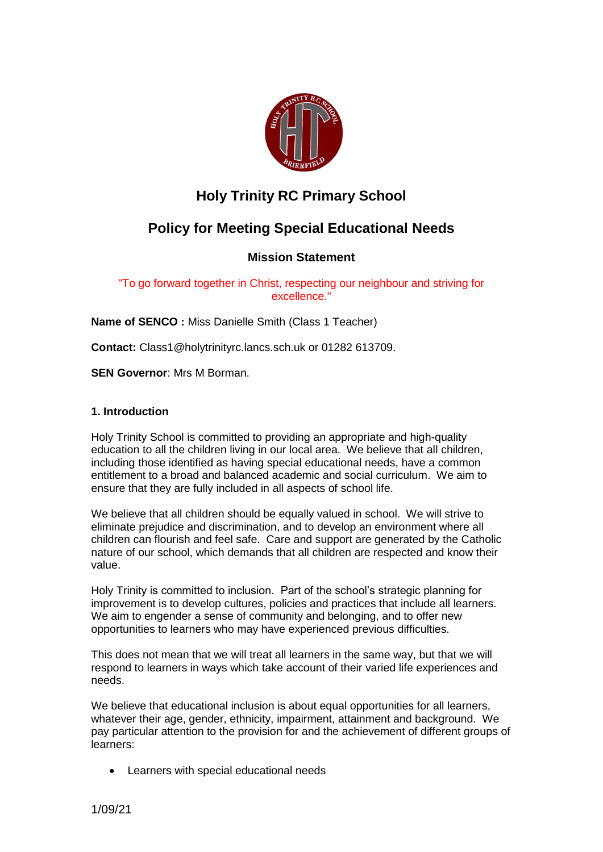

# **Holy Trinity RC Primary School**

# **Policy for Meeting Special Educational Needs**

# **Mission Statement**

"To go forward together in Christ, respecting our neighbour and striving for excellence."

**Name of SENCO :** Miss Danielle Smith (Class 1 Teacher)

**Contact:** Class1@holytrinityrc.lancs.sch.uk or 01282 613709.

**SEN Governor**: Mrs M Borman.

# **1. Introduction**

Holy Trinity School is committed to providing an appropriate and high-quality education to all the children living in our local area. We believe that all children, including those identified as having special educational needs, have a common entitlement to a broad and balanced academic and social curriculum. We aim to ensure that they are fully included in all aspects of school life.

We believe that all children should be equally valued in school. We will strive to eliminate prejudice and discrimination, and to develop an environment where all children can flourish and feel safe. Care and support are generated by the Catholic nature of our school, which demands that all children are respected and know their value.

Holy Trinity is committed to inclusion. Part of the school's strategic planning for improvement is to develop cultures, policies and practices that include all learners. We aim to engender a sense of community and belonging, and to offer new opportunities to learners who may have experienced previous difficulties.

This does not mean that we will treat all learners in the same way, but that we will respond to learners in ways which take account of their varied life experiences and needs.

We believe that educational inclusion is about equal opportunities for all learners, whatever their age, gender, ethnicity, impairment, attainment and background. We pay particular attention to the provision for and the achievement of different groups of learners:

Learners with special educational needs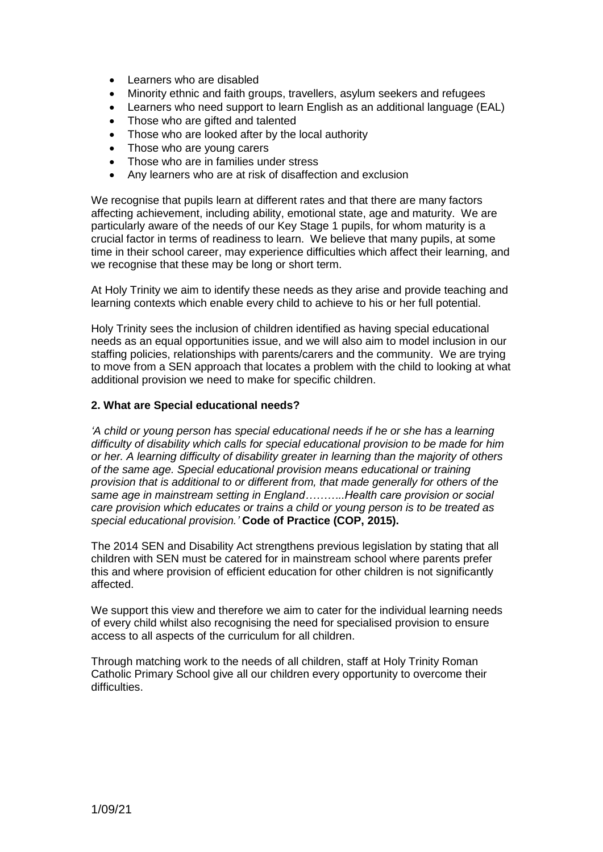- Learners who are disabled
- Minority ethnic and faith groups, travellers, asylum seekers and refugees
- Learners who need support to learn English as an additional language (EAL)
- Those who are gifted and talented
- Those who are looked after by the local authority
- Those who are young carers
- Those who are in families under stress
- Any learners who are at risk of disaffection and exclusion

We recognise that pupils learn at different rates and that there are many factors affecting achievement, including ability, emotional state, age and maturity. We are particularly aware of the needs of our Key Stage 1 pupils, for whom maturity is a crucial factor in terms of readiness to learn. We believe that many pupils, at some time in their school career, may experience difficulties which affect their learning, and we recognise that these may be long or short term.

At Holy Trinity we aim to identify these needs as they arise and provide teaching and learning contexts which enable every child to achieve to his or her full potential.

Holy Trinity sees the inclusion of children identified as having special educational needs as an equal opportunities issue, and we will also aim to model inclusion in our staffing policies, relationships with parents/carers and the community. We are trying to move from a SEN approach that locates a problem with the child to looking at what additional provision we need to make for specific children.

#### **2. What are Special educational needs?**

*'A child or young person has special educational needs if he or she has a learning difficulty of disability which calls for special educational provision to be made for him or her. A learning difficulty of disability greater in learning than the majority of others of the same age. Special educational provision means educational or training provision that is additional to or different from, that made generally for others of the same age in mainstream setting in England………..Health care provision or social care provision which educates or trains a child or young person is to be treated as special educational provision.'* **Code of Practice (COP, 2015).**

The 2014 SEN and Disability Act strengthens previous legislation by stating that all children with SEN must be catered for in mainstream school where parents prefer this and where provision of efficient education for other children is not significantly affected.

We support this view and therefore we aim to cater for the individual learning needs of every child whilst also recognising the need for specialised provision to ensure access to all aspects of the curriculum for all children.

Through matching work to the needs of all children, staff at Holy Trinity Roman Catholic Primary School give all our children every opportunity to overcome their difficulties.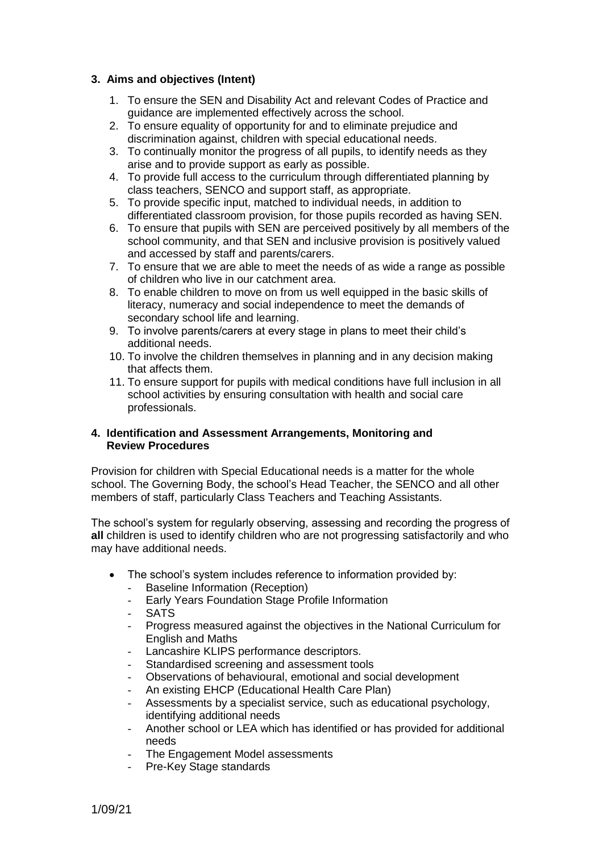# **3. Aims and objectives (Intent)**

- 1. To ensure the SEN and Disability Act and relevant Codes of Practice and guidance are implemented effectively across the school.
- 2. To ensure equality of opportunity for and to eliminate prejudice and discrimination against, children with special educational needs.
- 3. To continually monitor the progress of all pupils, to identify needs as they arise and to provide support as early as possible.
- 4. To provide full access to the curriculum through differentiated planning by class teachers, SENCO and support staff, as appropriate.
- 5. To provide specific input, matched to individual needs, in addition to differentiated classroom provision, for those pupils recorded as having SEN.
- 6. To ensure that pupils with SEN are perceived positively by all members of the school community, and that SEN and inclusive provision is positively valued and accessed by staff and parents/carers.
- 7. To ensure that we are able to meet the needs of as wide a range as possible of children who live in our catchment area.
- 8. To enable children to move on from us well equipped in the basic skills of literacy, numeracy and social independence to meet the demands of secondary school life and learning.
- 9. To involve parents/carers at every stage in plans to meet their child's additional needs.
- 10. To involve the children themselves in planning and in any decision making that affects them.
- 11. To ensure support for pupils with medical conditions have full inclusion in all school activities by ensuring consultation with health and social care professionals.

#### **4. Identification and Assessment Arrangements, Monitoring and Review Procedures**

Provision for children with Special Educational needs is a matter for the whole school. The Governing Body, the school's Head Teacher, the SENCO and all other members of staff, particularly Class Teachers and Teaching Assistants.

The school's system for regularly observing, assessing and recording the progress of **all** children is used to identify children who are not progressing satisfactorily and who may have additional needs.

- The school's system includes reference to information provided by:
	- Baseline Information (Reception)
	- Early Years Foundation Stage Profile Information
	- SATS
	- Progress measured against the objectives in the National Curriculum for English and Maths
	- Lancashire KLIPS performance descriptors.
	- Standardised screening and assessment tools
	- Observations of behavioural, emotional and social development
	- An existing EHCP (Educational Health Care Plan)
	- Assessments by a specialist service, such as educational psychology, identifying additional needs
	- Another school or LEA which has identified or has provided for additional needs
	- The Engagement Model assessments
	- Pre-Key Stage standards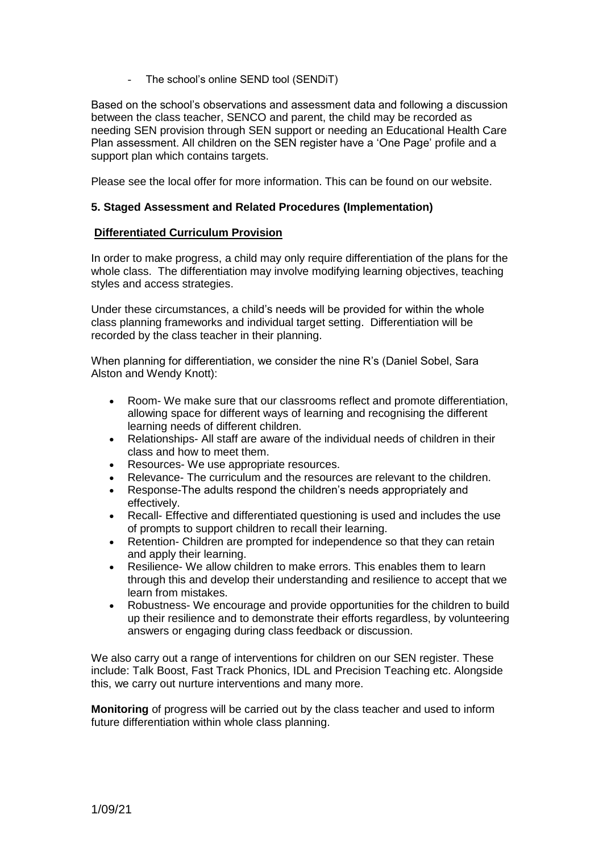The school's online SEND tool (SENDIT)

Based on the school's observations and assessment data and following a discussion between the class teacher, SENCO and parent, the child may be recorded as needing SEN provision through SEN support or needing an Educational Health Care Plan assessment. All children on the SEN register have a 'One Page' profile and a support plan which contains targets.

Please see the local offer for more information. This can be found on our website.

#### **5. Staged Assessment and Related Procedures (Implementation)**

#### **Differentiated Curriculum Provision**

In order to make progress, a child may only require differentiation of the plans for the whole class. The differentiation may involve modifying learning objectives, teaching styles and access strategies.

Under these circumstances, a child's needs will be provided for within the whole class planning frameworks and individual target setting. Differentiation will be recorded by the class teacher in their planning.

When planning for differentiation, we consider the nine R's (Daniel Sobel, Sara Alston and Wendy Knott):

- Room- We make sure that our classrooms reflect and promote differentiation, allowing space for different ways of learning and recognising the different learning needs of different children.
- Relationships- All staff are aware of the individual needs of children in their class and how to meet them.
- Resources- We use appropriate resources.
- Relevance- The curriculum and the resources are relevant to the children.
- Response-The adults respond the children's needs appropriately and effectively.
- Recall- Effective and differentiated questioning is used and includes the use of prompts to support children to recall their learning.
- Retention- Children are prompted for independence so that they can retain and apply their learning.
- Resilience- We allow children to make errors. This enables them to learn through this and develop their understanding and resilience to accept that we learn from mistakes.
- Robustness- We encourage and provide opportunities for the children to build up their resilience and to demonstrate their efforts regardless, by volunteering answers or engaging during class feedback or discussion.

We also carry out a range of interventions for children on our SEN register. These include: Talk Boost, Fast Track Phonics, IDL and Precision Teaching etc. Alongside this, we carry out nurture interventions and many more.

**Monitoring** of progress will be carried out by the class teacher and used to inform future differentiation within whole class planning.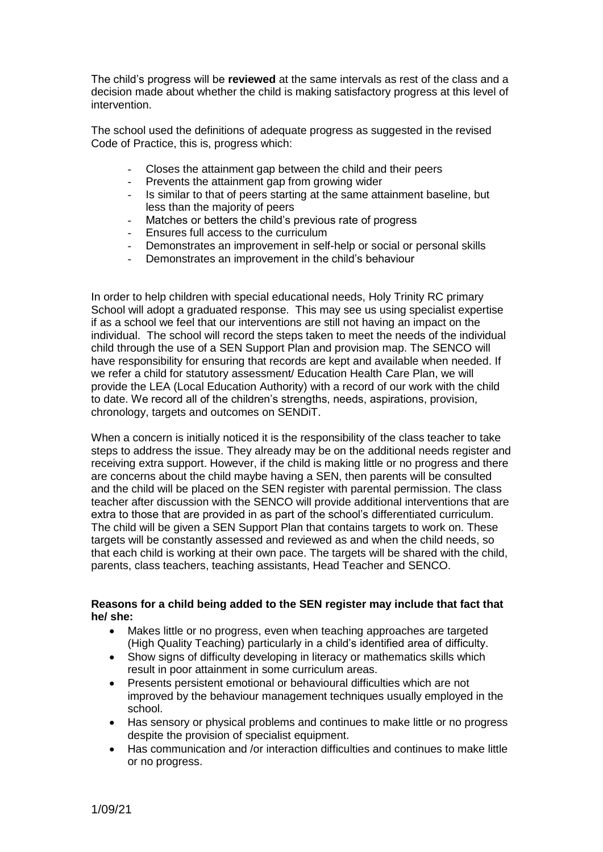The child's progress will be **reviewed** at the same intervals as rest of the class and a decision made about whether the child is making satisfactory progress at this level of intervention.

The school used the definitions of adequate progress as suggested in the revised Code of Practice, this is, progress which:

- Closes the attainment gap between the child and their peers
- Prevents the attainment gap from growing wider
- Is similar to that of peers starting at the same attainment baseline, but less than the majority of peers
- Matches or betters the child's previous rate of progress
- Ensures full access to the curriculum
- Demonstrates an improvement in self-help or social or personal skills
- Demonstrates an improvement in the child's behaviour

In order to help children with special educational needs, Holy Trinity RC primary School will adopt a graduated response. This may see us using specialist expertise if as a school we feel that our interventions are still not having an impact on the individual. The school will record the steps taken to meet the needs of the individual child through the use of a SEN Support Plan and provision map. The SENCO will have responsibility for ensuring that records are kept and available when needed. If we refer a child for statutory assessment/ Education Health Care Plan, we will provide the LEA (Local Education Authority) with a record of our work with the child to date. We record all of the children's strengths, needs, aspirations, provision, chronology, targets and outcomes on SENDiT.

When a concern is initially noticed it is the responsibility of the class teacher to take steps to address the issue. They already may be on the additional needs register and receiving extra support. However, if the child is making little or no progress and there are concerns about the child maybe having a SEN, then parents will be consulted and the child will be placed on the SEN register with parental permission. The class teacher after discussion with the SENCO will provide additional interventions that are extra to those that are provided in as part of the school's differentiated curriculum. The child will be given a SEN Support Plan that contains targets to work on. These targets will be constantly assessed and reviewed as and when the child needs, so that each child is working at their own pace. The targets will be shared with the child, parents, class teachers, teaching assistants, Head Teacher and SENCO.

# **Reasons for a child being added to the SEN register may include that fact that he/ she:**

- Makes little or no progress, even when teaching approaches are targeted (High Quality Teaching) particularly in a child's identified area of difficulty.
- Show signs of difficulty developing in literacy or mathematics skills which result in poor attainment in some curriculum areas.
- Presents persistent emotional or behavioural difficulties which are not improved by the behaviour management techniques usually employed in the school.
- Has sensory or physical problems and continues to make little or no progress despite the provision of specialist equipment.
- Has communication and /or interaction difficulties and continues to make little or no progress.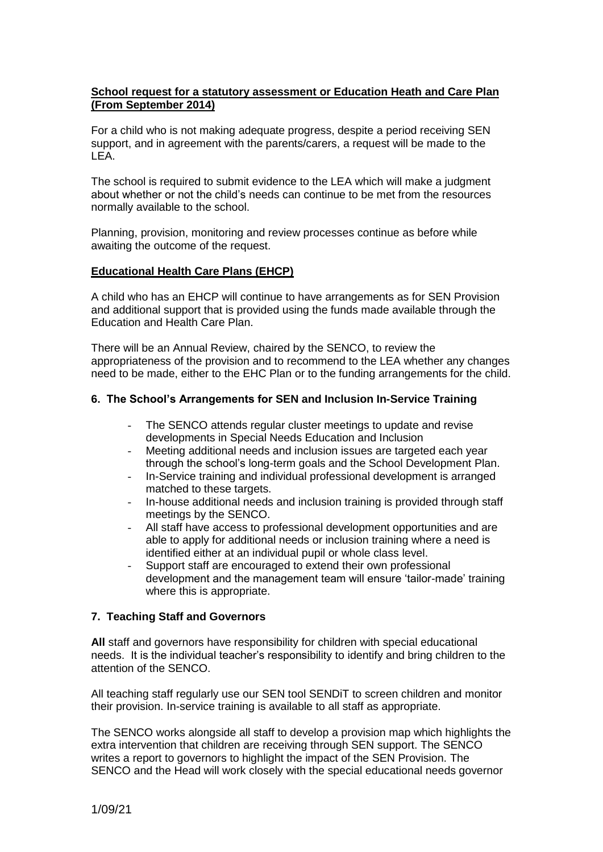# **School request for a statutory assessment or Education Heath and Care Plan (From September 2014)**

For a child who is not making adequate progress, despite a period receiving SEN support, and in agreement with the parents/carers, a request will be made to the LEA.

The school is required to submit evidence to the LEA which will make a judgment about whether or not the child's needs can continue to be met from the resources normally available to the school.

Planning, provision, monitoring and review processes continue as before while awaiting the outcome of the request.

#### **Educational Health Care Plans (EHCP)**

A child who has an EHCP will continue to have arrangements as for SEN Provision and additional support that is provided using the funds made available through the Education and Health Care Plan.

There will be an Annual Review, chaired by the SENCO, to review the appropriateness of the provision and to recommend to the LEA whether any changes need to be made, either to the EHC Plan or to the funding arrangements for the child.

#### **6. The School's Arrangements for SEN and Inclusion In-Service Training**

- The SENCO attends regular cluster meetings to update and revise developments in Special Needs Education and Inclusion
- Meeting additional needs and inclusion issues are targeted each year through the school's long-term goals and the School Development Plan.
- In-Service training and individual professional development is arranged matched to these targets.
- In-house additional needs and inclusion training is provided through staff meetings by the SENCO.
- All staff have access to professional development opportunities and are able to apply for additional needs or inclusion training where a need is identified either at an individual pupil or whole class level.
- Support staff are encouraged to extend their own professional development and the management team will ensure 'tailor-made' training where this is appropriate.

# **7. Teaching Staff and Governors**

**All** staff and governors have responsibility for children with special educational needs. It is the individual teacher's responsibility to identify and bring children to the attention of the SENCO.

All teaching staff regularly use our SEN tool SENDiT to screen children and monitor their provision. In-service training is available to all staff as appropriate.

The SENCO works alongside all staff to develop a provision map which highlights the extra intervention that children are receiving through SEN support. The SENCO writes a report to governors to highlight the impact of the SEN Provision. The SENCO and the Head will work closely with the special educational needs governor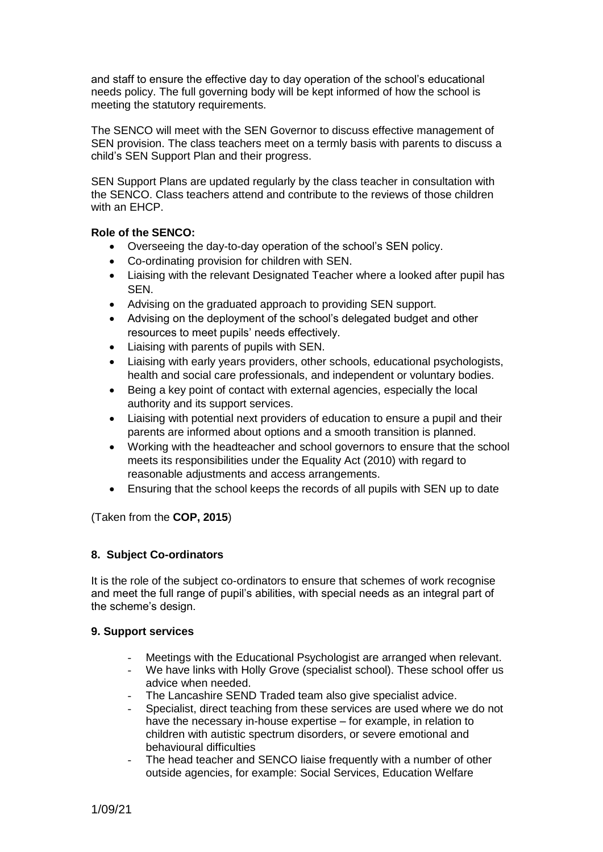and staff to ensure the effective day to day operation of the school's educational needs policy. The full governing body will be kept informed of how the school is meeting the statutory requirements.

The SENCO will meet with the SEN Governor to discuss effective management of SEN provision. The class teachers meet on a termly basis with parents to discuss a child's SEN Support Plan and their progress.

SEN Support Plans are updated regularly by the class teacher in consultation with the SENCO. Class teachers attend and contribute to the reviews of those children with an EHCP.

# **Role of the SENCO:**

- Overseeing the day-to-day operation of the school's SEN policy.
- Co-ordinating provision for children with SEN.
- Liaising with the relevant Designated Teacher where a looked after pupil has SEN.
- Advising on the graduated approach to providing SEN support.
- Advising on the deployment of the school's delegated budget and other resources to meet pupils' needs effectively.
- Liaising with parents of pupils with SEN.
- Liaising with early years providers, other schools, educational psychologists, health and social care professionals, and independent or voluntary bodies.
- Being a key point of contact with external agencies, especially the local authority and its support services.
- Liaising with potential next providers of education to ensure a pupil and their parents are informed about options and a smooth transition is planned.
- Working with the headteacher and school governors to ensure that the school meets its responsibilities under the Equality Act (2010) with regard to reasonable adjustments and access arrangements.
- Ensuring that the school keeps the records of all pupils with SEN up to date

(Taken from the **COP, 2015**)

# **8. Subject Co-ordinators**

It is the role of the subject co-ordinators to ensure that schemes of work recognise and meet the full range of pupil's abilities, with special needs as an integral part of the scheme's design.

# **9. Support services**

- Meetings with the Educational Psychologist are arranged when relevant.
- We have links with Holly Grove (specialist school). These school offer us advice when needed.
- The Lancashire SEND Traded team also give specialist advice.
- Specialist, direct teaching from these services are used where we do not have the necessary in-house expertise – for example, in relation to children with autistic spectrum disorders, or severe emotional and behavioural difficulties
- The head teacher and SENCO liaise frequently with a number of other outside agencies, for example: Social Services, Education Welfare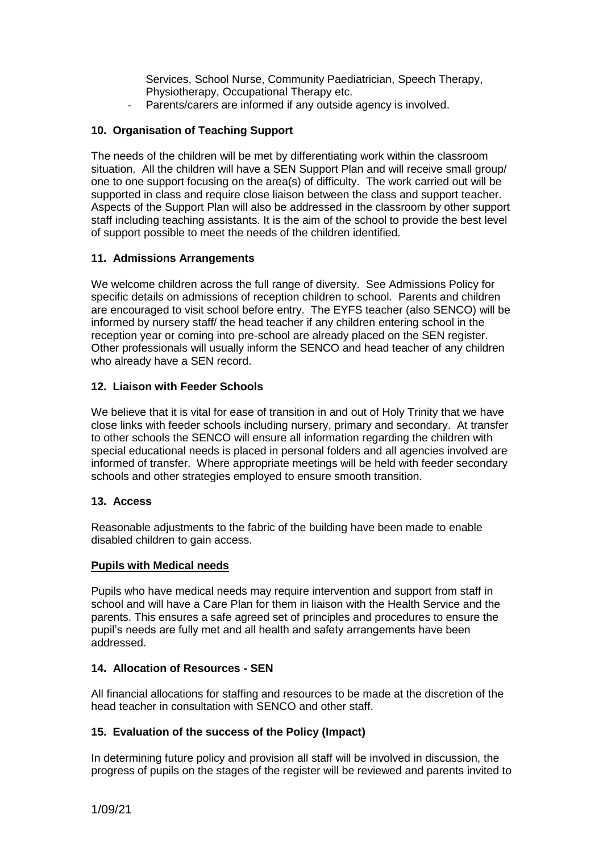Services, School Nurse, Community Paediatrician, Speech Therapy, Physiotherapy, Occupational Therapy etc.

Parents/carers are informed if any outside agency is involved.

# **10. Organisation of Teaching Support**

The needs of the children will be met by differentiating work within the classroom situation. All the children will have a SEN Support Plan and will receive small group/ one to one support focusing on the area(s) of difficulty. The work carried out will be supported in class and require close liaison between the class and support teacher. Aspects of the Support Plan will also be addressed in the classroom by other support staff including teaching assistants. It is the aim of the school to provide the best level of support possible to meet the needs of the children identified.

# **11. Admissions Arrangements**

We welcome children across the full range of diversity. See Admissions Policy for specific details on admissions of reception children to school. Parents and children are encouraged to visit school before entry. The EYFS teacher (also SENCO) will be informed by nursery staff/ the head teacher if any children entering school in the reception year or coming into pre-school are already placed on the SEN register. Other professionals will usually inform the SENCO and head teacher of any children who already have a SEN record.

# **12. Liaison with Feeder Schools**

We believe that it is vital for ease of transition in and out of Holy Trinity that we have close links with feeder schools including nursery, primary and secondary. At transfer to other schools the SENCO will ensure all information regarding the children with special educational needs is placed in personal folders and all agencies involved are informed of transfer. Where appropriate meetings will be held with feeder secondary schools and other strategies employed to ensure smooth transition.

# **13. Access**

Reasonable adjustments to the fabric of the building have been made to enable disabled children to gain access.

# **Pupils with Medical needs**

Pupils who have medical needs may require intervention and support from staff in school and will have a Care Plan for them in liaison with the Health Service and the parents. This ensures a safe agreed set of principles and procedures to ensure the pupil's needs are fully met and all health and safety arrangements have been addressed.

# **14. Allocation of Resources - SEN**

All financial allocations for staffing and resources to be made at the discretion of the head teacher in consultation with SENCO and other staff.

# **15. Evaluation of the success of the Policy (Impact)**

In determining future policy and provision all staff will be involved in discussion, the progress of pupils on the stages of the register will be reviewed and parents invited to